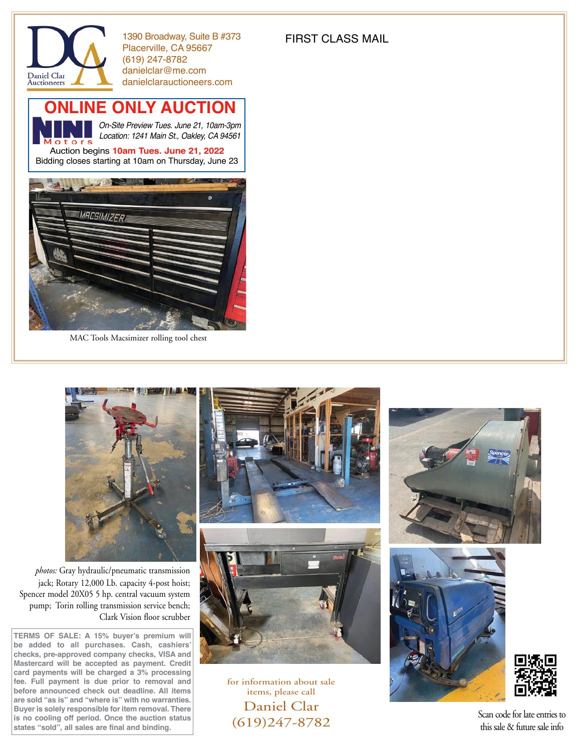

 $\mathbf{o}$ 

1390 Broadway, Suite B #373 FIRST CLASS MAIL Placerville, CA 95667 (619) 247-8782 danielclar@me.com danielclarauctioneers.com

## **ILINE ONLY AUCTION**

*On-Site Preview Tues. June 21, 10am-3pm Location: 1241 Main St., Oakley, CA 94561*tors

Auction begins **10am Tues. June 21, 2022** Bidding closes starting at 10am on Thursday, June 23



MAC Tools Macsimizer rolling tool chest



**TERMS OF SALE: A 15% buyer's premium will be added to all purchases. Cash, cashiers' checks, pre-approved company checks, VISA and Mastercard will be accepted as payment. Credit card payments will be charged a 3% processing fee. Full payment is due prior to removal and before announced check out deadline. All items are sold "as is" and "where is" with no warranties. Buyer is solely responsible for item removal. There is no cooling off period. Once the auction status states "sold", all sales are final and binding.**



for information about sale items, please call Daniel Clar (619)247-8782







Scan code for late entries to this sale & future sale info